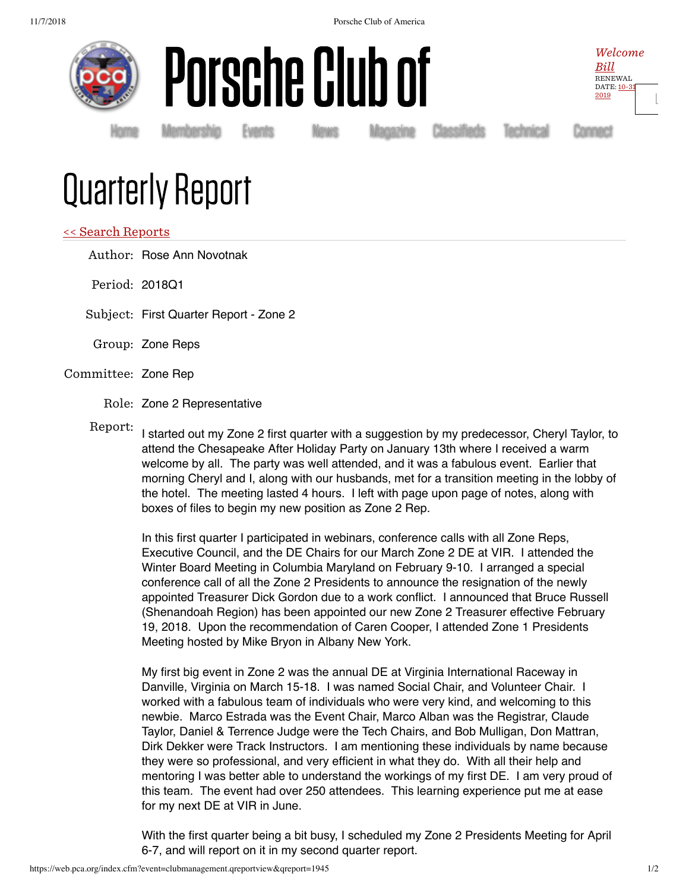





[Ŀ](https://web.pca.org/index.cfm?event=general.logout)

Homė Membership Events News Magazine Classifieds Technical Connect

## Quarterly Report

## << Search Reports

Author: Rose Ann Novotnak

Period: 2018Q1

Subject: First Quarter Report - Zone 2

- Group: Zone Reps
- Committee: Zone Rep
	- Role: Zone 2 Representative

Report: I started out my Zone 2 first quarter with a suggestion by my predecessor, Cheryl Taylor, to attend the Chesapeake After Holiday Party on January 13th where I received a warm welcome by all. The party was well attended, and it was a fabulous event. Earlier that morning Cheryl and I, along with our husbands, met for a transition meeting in the lobby of the hotel. The meeting lasted 4 hours. I left with page upon page of notes, along with boxes of files to begin my new position as Zone 2 Rep.

In this first quarter I participated in webinars, conference calls with all Zone Reps, Executive Council, and the DE Chairs for our March Zone 2 DE at VIR. I attended the Winter Board Meeting in Columbia Maryland on February 9-10. I arranged a special conference call of all the Zone 2 Presidents to announce the resignation of the newly appointed Treasurer Dick Gordon due to a work conflict. I announced that Bruce Russell (Shenandoah Region) has been appointed our new Zone 2 Treasurer effective February 19, 2018. Upon the recommendation of Caren Cooper, I attended Zone 1 Presidents Meeting hosted by Mike Bryon in Albany New York.

My first big event in Zone 2 was the annual DE at Virginia International Raceway in Danville, Virginia on March 15-18. I was named Social Chair, and Volunteer Chair. I worked with a fabulous team of individuals who were very kind, and welcoming to this newbie. Marco Estrada was the Event Chair, Marco Alban was the Registrar, Claude Taylor, Daniel & Terrence Judge were the Tech Chairs, and Bob Mulligan, Don Mattran, Dirk Dekker were Track Instructors. I am mentioning these individuals by name because they were so professional, and very efficient in what they do. With all their help and mentoring I was better able to understand the workings of my first DE. I am very proud of this team. The event had over 250 attendees. This learning experience put me at ease for my next DE at VIR in June.

With the first quarter being a bit busy, I scheduled my Zone 2 Presidents Meeting for April 6-7, and will report on it in my second quarter report.